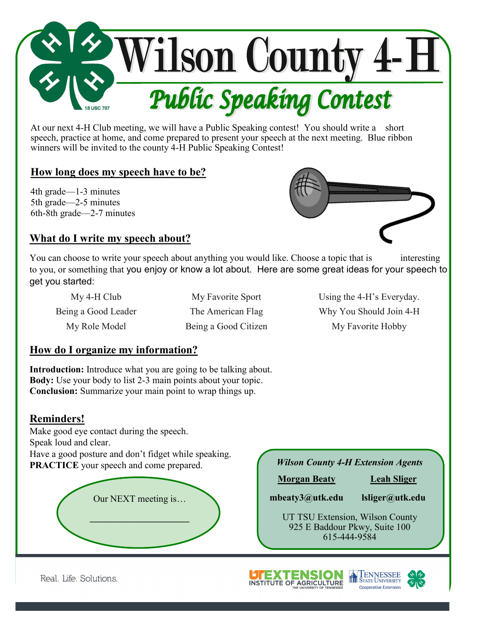

At our next 4-H Club meeting, we will have a Public Speaking contest! You should write a short speech, practice at home, and come prepared to present your speech at the next meeting. Blue ribbon winners will be invited to the county 4-H Public Speaking Contest!

## **How long does my speech have to be?**

4th grade—1-3 minutes 5th grade—2-5 minutes 6th-8th grade—2-7 minutes



## **What do I write my speech about?**

You can choose to write your speech about anything you would like. Choose a topic that is interesting to you, or something that you enjoy or know a lot about. Here are some great ideas for your speech to get you started:

My 4-H Club My Favorite Sport Using the 4-H's Everyday. Being a Good Leader The American Flag Why You Should Join 4-H My Role Model Being a Good Citizen My Favorite Hobby

## **How do I organize my information?**

**Introduction:** Introduce what you are going to be talking about. **Body:** Use your body to list 2-3 main points about your topic. **Conclusion:** Summarize your main point to wrap things up.

## **Reminders!**

Make good eye contact during the speech. Speak loud and clear. Have a good posture and don't fidget while speaking. **PRACTICE** your speech and come prepared.